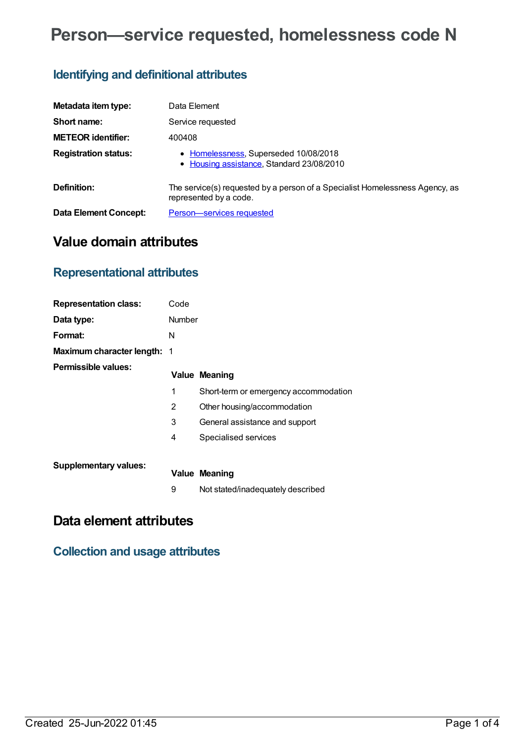# **Person—service requested, homelessness code N**

## **Identifying and definitional attributes**

| Metadata item type:         | Data Element                                                                                           |
|-----------------------------|--------------------------------------------------------------------------------------------------------|
| Short name:                 | Service requested                                                                                      |
| <b>METEOR identifier:</b>   | 400408                                                                                                 |
| <b>Registration status:</b> | • Homelessness, Superseded 10/08/2018<br>• Housing assistance, Standard 23/08/2010                     |
| Definition:                 | The service(s) requested by a person of a Specialist Homelessness Agency, as<br>represented by a code. |
| Data Element Concept:       | Person-services requested                                                                              |

### **Value domain attributes**

### **Representational attributes**

| <b>Representation class:</b>       | Code   |                                       |
|------------------------------------|--------|---------------------------------------|
| Data type:                         | Number |                                       |
| Format:                            | N      |                                       |
| <b>Maximum character length: 1</b> |        |                                       |
| <b>Permissible values:</b>         |        | <b>Value Meaning</b>                  |
|                                    | 1      | Short-term or emergency accommodation |
|                                    | 2      | Other housing/accommodation           |
|                                    | 3      | General assistance and support        |
|                                    | 4      | Specialised services                  |
|                                    |        |                                       |
| <b>Supplementary values:</b>       |        | <b>Value Meaning</b>                  |
|                                    | 9      | Not stated/inadequately described     |

### **Data element attributes**

### **Collection and usage attributes**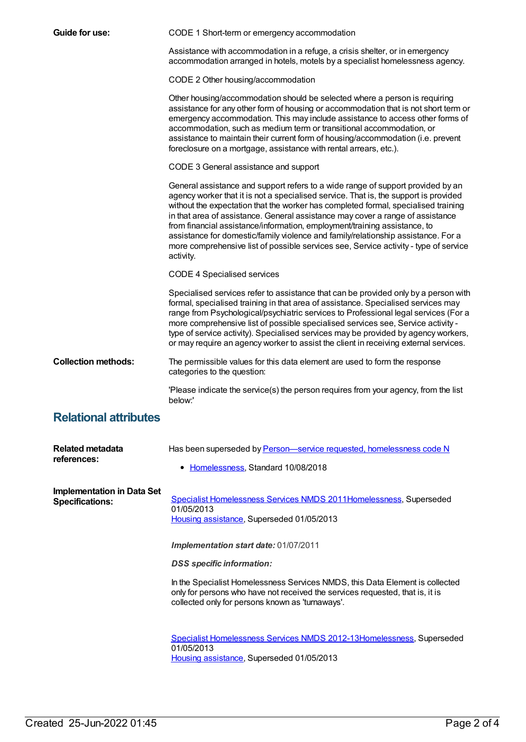| Guide for use:                                              | CODE 1 Short-term or emergency accommodation                                                                                                                                                                                                                                                                                                                                                                                                                                                                                                                                                                           |
|-------------------------------------------------------------|------------------------------------------------------------------------------------------------------------------------------------------------------------------------------------------------------------------------------------------------------------------------------------------------------------------------------------------------------------------------------------------------------------------------------------------------------------------------------------------------------------------------------------------------------------------------------------------------------------------------|
|                                                             | Assistance with accommodation in a refuge, a crisis shelter, or in emergency<br>accommodation arranged in hotels, motels by a specialist homelessness agency.                                                                                                                                                                                                                                                                                                                                                                                                                                                          |
|                                                             | CODE 2 Other housing/accommodation                                                                                                                                                                                                                                                                                                                                                                                                                                                                                                                                                                                     |
|                                                             | Other housing/accommodation should be selected where a person is requiring<br>assistance for any other form of housing or accommodation that is not short term or<br>emergency accommodation. This may include assistance to access other forms of<br>accommodation, such as medium term or transitional accommodation, or<br>assistance to maintain their current form of housing/accommodation (i.e. prevent<br>foreclosure on a mortgage, assistance with rental arrears, etc.).                                                                                                                                    |
|                                                             | CODE 3 General assistance and support                                                                                                                                                                                                                                                                                                                                                                                                                                                                                                                                                                                  |
|                                                             | General assistance and support refers to a wide range of support provided by an<br>agency worker that it is not a specialised service. That is, the support is provided<br>without the expectation that the worker has completed formal, specialised training<br>in that area of assistance. General assistance may cover a range of assistance<br>from financial assistance/information, employment/training assistance, to<br>assistance for domestic/family violence and family/relationship assistance. For a<br>more comprehensive list of possible services see, Service activity - type of service<br>activity. |
|                                                             | <b>CODE 4 Specialised services</b>                                                                                                                                                                                                                                                                                                                                                                                                                                                                                                                                                                                     |
|                                                             | Specialised services refer to assistance that can be provided only by a person with<br>formal, specialised training in that area of assistance. Specialised services may<br>range from Psychological/psychiatric services to Professional legal services (For a<br>more comprehensive list of possible specialised services see, Service activity -<br>type of service activity). Specialised services may be provided by agency workers,<br>or may require an agency worker to assist the client in receiving external services.                                                                                      |
| <b>Collection methods:</b>                                  | The permissible values for this data element are used to form the response<br>categories to the question:                                                                                                                                                                                                                                                                                                                                                                                                                                                                                                              |
|                                                             | 'Please indicate the service(s) the person requires from your agency, from the list<br>below:'                                                                                                                                                                                                                                                                                                                                                                                                                                                                                                                         |
| <b>Relational attributes</b>                                |                                                                                                                                                                                                                                                                                                                                                                                                                                                                                                                                                                                                                        |
| <b>Related metadata</b><br>references:                      | Has been superseded by Person-service requested, homelessness code N                                                                                                                                                                                                                                                                                                                                                                                                                                                                                                                                                   |
|                                                             | • Homelessness, Standard 10/08/2018                                                                                                                                                                                                                                                                                                                                                                                                                                                                                                                                                                                    |
| <b>Implementation in Data Set</b><br><b>Specifications:</b> | Specialist Homelessness Services NMDS 2011Homelessness, Superseded<br>01/05/2013<br>Housing assistance, Superseded 01/05/2013                                                                                                                                                                                                                                                                                                                                                                                                                                                                                          |
|                                                             | Implementation start date: 01/07/2011                                                                                                                                                                                                                                                                                                                                                                                                                                                                                                                                                                                  |
|                                                             | <b>DSS</b> specific information:                                                                                                                                                                                                                                                                                                                                                                                                                                                                                                                                                                                       |
|                                                             | In the Specialist Homelessness Services NMDS, this Data Element is collected<br>only for persons who have not received the services requested, that is, it is<br>collected only for persons known as 'turnaways'.                                                                                                                                                                                                                                                                                                                                                                                                      |
|                                                             | Specialist Homelessness Services NMDS 2012-13 Homelessness, Superseded<br>01/05/2013<br>Housing assistance, Superseded 01/05/2013                                                                                                                                                                                                                                                                                                                                                                                                                                                                                      |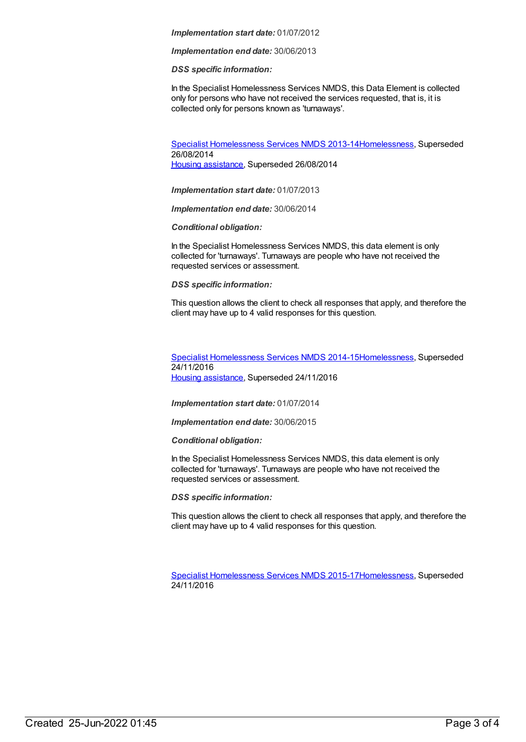#### *Implementation start date:* 01/07/2012

*Implementation end date:* 30/06/2013

*DSS specific information:*

In the Specialist Homelessness Services NMDS, this Data Element is collected only for persons who have not received the services requested, that is, it is collected only for persons known as 'turnaways'.

Specialist [Homelessness](https://meteor.aihw.gov.au/content/505626) Services NMDS 2013-1[4Homelessness](https://meteor.aihw.gov.au/RegistrationAuthority/14), Superseded 26/08/2014 Housing [assistance](https://meteor.aihw.gov.au/RegistrationAuthority/11), Superseded 26/08/2014

*Implementation start date:* 01/07/2013

*Implementation end date:* 30/06/2014

*Conditional obligation:*

In the Specialist Homelessness Services NMDS, this data element is only collected for 'turnaways'. Turnaways are people who have not received the requested services or assessment.

*DSS specific information:*

This question allows the client to check all responses that apply, and therefore the client may have up to 4 valid responses for this question.

Specialist [Homelessness](https://meteor.aihw.gov.au/content/581255) Services NMDS 2014-1[5Homelessness](https://meteor.aihw.gov.au/RegistrationAuthority/14), Superseded 24/11/2016 Housing [assistance](https://meteor.aihw.gov.au/RegistrationAuthority/11), Superseded 24/11/2016

*Implementation start date:* 01/07/2014

*Implementation end date:* 30/06/2015

*Conditional obligation:*

In the Specialist Homelessness Services NMDS, this data element is only collected for 'turnaways'. Turnaways are people who have not received the requested services or assessment.

*DSS specific information:*

This question allows the client to check all responses that apply, and therefore the client may have up to 4 valid responses for this question.

Specialist [Homelessness](https://meteor.aihw.gov.au/content/658005) Services NMDS 2015-1[7Homelessness](https://meteor.aihw.gov.au/RegistrationAuthority/14), Superseded 24/11/2016